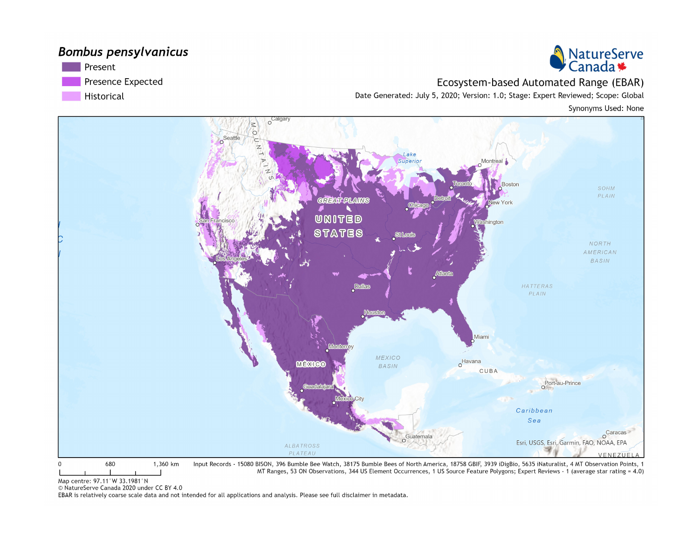## **Bombus pensylvanicus**





Ecosystem-based Automated Range (EBAR)

Date Generated: July 5, 2020; Version: 1.0; Stage: Expert Reviewed; Scope: Global

Synonyms Used: None



Map centre: 97.11°W 33.1981°N

© NatureServe Canada 2020 under CC BY 4.0

EBAR is relatively coarse scale data and not intended for all applications and analysis. Please see full disclaimer in metadata.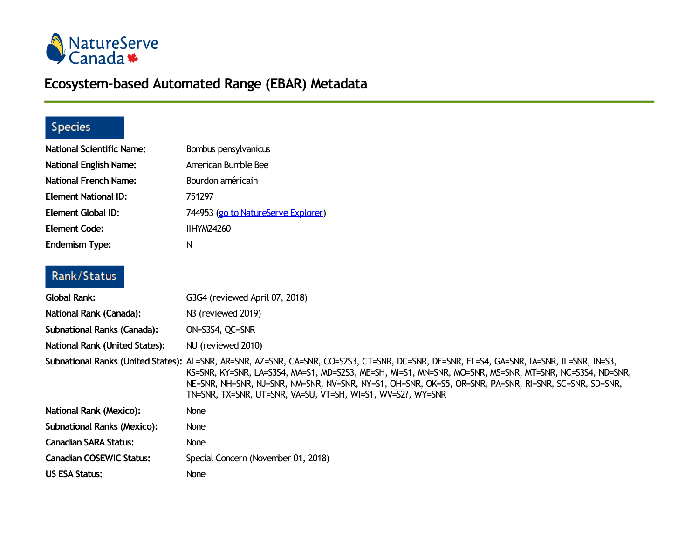

## **Ecosystem-based Automated Range (EBAR) Metadata**

## Species

| <b>National Scientific Name:</b> | Bombus pensylvanicus                                                                                                                                                                                                                                                                                                                                                                                                         |
|----------------------------------|------------------------------------------------------------------------------------------------------------------------------------------------------------------------------------------------------------------------------------------------------------------------------------------------------------------------------------------------------------------------------------------------------------------------------|
| <b>National English Name:</b>    | American Bumble Bee                                                                                                                                                                                                                                                                                                                                                                                                          |
| National French Name:            | Bourdon américain                                                                                                                                                                                                                                                                                                                                                                                                            |
| <b>Element National ID:</b>      | 751297                                                                                                                                                                                                                                                                                                                                                                                                                       |
| Element Global ID:               | 744953 (go to NatureServe Explorer)                                                                                                                                                                                                                                                                                                                                                                                          |
| <b>Element Code:</b>             | <b>IIHYM24260</b>                                                                                                                                                                                                                                                                                                                                                                                                            |
| <b>Endemism Type:</b>            | N                                                                                                                                                                                                                                                                                                                                                                                                                            |
| Rank/Status                      |                                                                                                                                                                                                                                                                                                                                                                                                                              |
| Global Rank:                     | G3G4 (reviewed April 07, 2018)                                                                                                                                                                                                                                                                                                                                                                                               |
| National Rank (Canada):          | N <sub>3</sub> (reviewed 2019)                                                                                                                                                                                                                                                                                                                                                                                               |
| Subnational Ranks (Canada):      | ON=S3S4, QC=SNR                                                                                                                                                                                                                                                                                                                                                                                                              |
| National Rank (United States):   | NU (reviewed 2010)                                                                                                                                                                                                                                                                                                                                                                                                           |
|                                  | Subnational Ranks (United States): AL=SNR, AR=SNR, AZ=SNR, CA=SNR, CO=S2S3, CT=SNR, DC=SNR, DE=SNR, FL=S4, GA=SNR, IA=SNR, IL=SNR, IN=S3,<br>KS=SNR, KY=SNR, LA=S3S4, MA=S1, MD=S2S3, ME=SH, MI=S1, MN=SNR, MO=SNR, MS=SNR, MT=SNR, NC=S3S4, ND=SNR,<br>NE=SNR, NH=SNR, NJ=SNR, NM=SNR, NV=SNR, NY=S1, OH=SNR, OK=S5, OR=SNR, PA=SNR, RI=SNR, SC=SNR, SD=SNR,<br>TN=SNR, TX=SNR, UT=SNR, VA=SU, VT=SH, WI=S1, WV=S2?, WY=SNR |
| <b>National Rank (Mexico):</b>   | None                                                                                                                                                                                                                                                                                                                                                                                                                         |
| Subnational Ranks (Mexico):      | None                                                                                                                                                                                                                                                                                                                                                                                                                         |
| <b>Canadian SARA Status:</b>     | None                                                                                                                                                                                                                                                                                                                                                                                                                         |
| <b>Canadian COSEWIC Status:</b>  | Special Concern (November 01, 2018)                                                                                                                                                                                                                                                                                                                                                                                          |
| <b>US ESA Status:</b>            | <b>None</b>                                                                                                                                                                                                                                                                                                                                                                                                                  |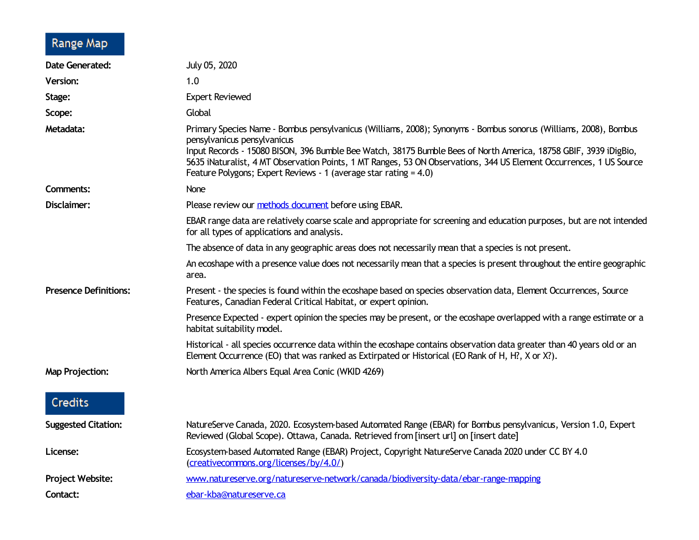## Range Map

| <b>Date Generated:</b>       | July 05, 2020                                                                                                                                                                                                                                                                                                                                                                                                                                                  |
|------------------------------|----------------------------------------------------------------------------------------------------------------------------------------------------------------------------------------------------------------------------------------------------------------------------------------------------------------------------------------------------------------------------------------------------------------------------------------------------------------|
| <b>Version:</b>              | 1.0                                                                                                                                                                                                                                                                                                                                                                                                                                                            |
| Stage:                       | <b>Expert Reviewed</b>                                                                                                                                                                                                                                                                                                                                                                                                                                         |
| Scope:                       | Global                                                                                                                                                                                                                                                                                                                                                                                                                                                         |
| Metadata:                    | Primary Species Name - Bombus pensylvanicus (Williams, 2008); Synonyms - Bombus sonorus (Williams, 2008), Bombus<br>pensylvanicus pensylvanicus<br>Input Records - 15080 BISON, 396 Bumble Bee Watch, 38175 Bumble Bees of North America, 18758 GBIF, 3939 iDigBio,<br>5635 iNaturalist, 4 MT Observation Points, 1 MT Ranges, 53 ON Observations, 344 US Element Occurrences, 1 US Source<br>Feature Polygons; Expert Reviews - 1 (average star rating = 4.0) |
| Comments:                    | None                                                                                                                                                                                                                                                                                                                                                                                                                                                           |
| Disclaimer:                  | Please review our methods document before using EBAR.                                                                                                                                                                                                                                                                                                                                                                                                          |
|                              | EBAR range data are relatively coarse scale and appropriate for screening and education purposes, but are not intended<br>for all types of applications and analysis.                                                                                                                                                                                                                                                                                          |
|                              | The absence of data in any geographic areas does not necessarily mean that a species is not present.                                                                                                                                                                                                                                                                                                                                                           |
|                              | An ecoshape with a presence value does not necessarily mean that a species is present throughout the entire geographic<br>area.                                                                                                                                                                                                                                                                                                                                |
| <b>Presence Definitions:</b> | Present - the species is found within the ecoshape based on species observation data, Element Occurrences, Source<br>Features, Canadian Federal Critical Habitat, or expert opinion.                                                                                                                                                                                                                                                                           |
|                              | Presence Expected - expert opinion the species may be present, or the ecoshape overlapped with a range estimate or a<br>habitat suitability model.                                                                                                                                                                                                                                                                                                             |
|                              | Historical - all species occurrence data within the ecoshape contains observation data greater than 40 years old or an<br>Element Occurrence (EO) that was ranked as Extirpated or Historical (EO Rank of H, H?, X or X?).                                                                                                                                                                                                                                     |
| <b>Map Projection:</b>       | North America Albers Equal Area Conic (WKID 4269)                                                                                                                                                                                                                                                                                                                                                                                                              |
| Credits                      |                                                                                                                                                                                                                                                                                                                                                                                                                                                                |
| <b>Suggested Citation:</b>   | NatureServe Canada, 2020. Ecosystem-based Automated Range (EBAR) for Bombus pensylvanicus, Version 1.0, Expert<br>Reviewed (Global Scope). Ottawa, Canada. Retrieved from [insert url] on [insert date]                                                                                                                                                                                                                                                        |
| License:                     | Ecosystem-based Automated Range (EBAR) Project, Copyright NatureServe Canada 2020 under CC BY 4.0<br>(creativecommons.org/licenses/by/4.0/)                                                                                                                                                                                                                                                                                                                    |
| <b>Project Website:</b>      | www.natureserve.org/natureserve-network/canada/biodiversity-data/ebar-range-mapping                                                                                                                                                                                                                                                                                                                                                                            |
| Contact:                     | ebar-kba@natureserve.ca                                                                                                                                                                                                                                                                                                                                                                                                                                        |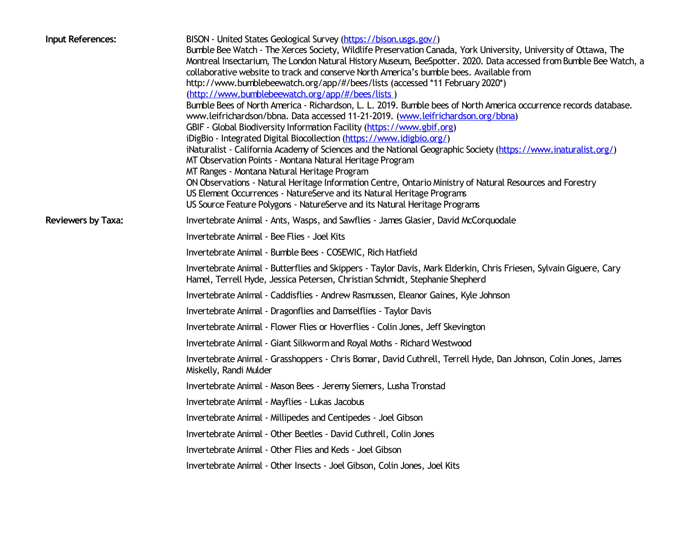| Input References:         | BISON - United States Geological Survey (https://bison.usgs.gov/)<br>Bumble Bee Watch - The Xerces Society, Wildlife Preservation Canada, York University, University of Ottawa, The<br>Montreal Insectarium, The London Natural History Museum, BeeSpotter. 2020. Data accessed from Bumble Bee Watch, a<br>collaborative website to track and conserve North America's bumble bees. Available from<br>http://www.bumblebeewatch.org/app/#/bees/lists (accessed *11 February 2020*)<br>(http://www.bumblebeewatch.org/app/#/bees/lists)<br>Bumble Bees of North America - Richardson, L. L. 2019. Bumble bees of North America occurrence records database.<br>www.leifrichardson/bbna. Data accessed 11-21-2019. (www.leifrichardson.org/bbna)<br>GBIF - Global Biodiversity Information Facility (https://www.gbif.org)<br>iDigBio - Integrated Digital Biocollection (https://www.idigbio.org/)<br>iNaturalist - California Academy of Sciences and the National Geographic Society (https://www.inaturalist.org/)<br>MT Observation Points - Montana Natural Heritage Program<br>MT Ranges - Montana Natural Heritage Program<br>ON Observations - Natural Heritage Information Centre, Ontario Ministry of Natural Resources and Forestry<br>US Element Occurrences - NatureServe and its Natural Heritage Programs<br>US Source Feature Polygons - NatureServe and its Natural Heritage Programs |
|---------------------------|---------------------------------------------------------------------------------------------------------------------------------------------------------------------------------------------------------------------------------------------------------------------------------------------------------------------------------------------------------------------------------------------------------------------------------------------------------------------------------------------------------------------------------------------------------------------------------------------------------------------------------------------------------------------------------------------------------------------------------------------------------------------------------------------------------------------------------------------------------------------------------------------------------------------------------------------------------------------------------------------------------------------------------------------------------------------------------------------------------------------------------------------------------------------------------------------------------------------------------------------------------------------------------------------------------------------------------------------------------------------------------------------------------|
| <b>Reviewers by Taxa:</b> | Invertebrate Animal - Ants, Wasps, and Sawflies - James Glasier, David McCorquodale                                                                                                                                                                                                                                                                                                                                                                                                                                                                                                                                                                                                                                                                                                                                                                                                                                                                                                                                                                                                                                                                                                                                                                                                                                                                                                                     |
|                           | Invertebrate Animal - Bee Flies - Joel Kits                                                                                                                                                                                                                                                                                                                                                                                                                                                                                                                                                                                                                                                                                                                                                                                                                                                                                                                                                                                                                                                                                                                                                                                                                                                                                                                                                             |
|                           | Invertebrate Animal - Bumble Bees - COSEWIC, Rich Hatfield                                                                                                                                                                                                                                                                                                                                                                                                                                                                                                                                                                                                                                                                                                                                                                                                                                                                                                                                                                                                                                                                                                                                                                                                                                                                                                                                              |
|                           | Invertebrate Animal - Butterflies and Skippers - Taylor Davis, Mark Elderkin, Chris Friesen, Sylvain Giguere, Cary<br>Hamel, Terrell Hyde, Jessica Petersen, Christian Schmidt, Stephanie Shepherd                                                                                                                                                                                                                                                                                                                                                                                                                                                                                                                                                                                                                                                                                                                                                                                                                                                                                                                                                                                                                                                                                                                                                                                                      |
|                           | Invertebrate Animal - Caddisflies - Andrew Rasmussen, Eleanor Gaines, Kyle Johnson                                                                                                                                                                                                                                                                                                                                                                                                                                                                                                                                                                                                                                                                                                                                                                                                                                                                                                                                                                                                                                                                                                                                                                                                                                                                                                                      |
|                           | Invertebrate Animal - Dragonflies and Damselflies - Taylor Davis                                                                                                                                                                                                                                                                                                                                                                                                                                                                                                                                                                                                                                                                                                                                                                                                                                                                                                                                                                                                                                                                                                                                                                                                                                                                                                                                        |
|                           | Invertebrate Animal - Flower Flies or Hoverflies - Colin Jones, Jeff Skevington                                                                                                                                                                                                                                                                                                                                                                                                                                                                                                                                                                                                                                                                                                                                                                                                                                                                                                                                                                                                                                                                                                                                                                                                                                                                                                                         |
|                           | Invertebrate Animal - Giant Silkworm and Royal Moths - Richard Westwood                                                                                                                                                                                                                                                                                                                                                                                                                                                                                                                                                                                                                                                                                                                                                                                                                                                                                                                                                                                                                                                                                                                                                                                                                                                                                                                                 |
|                           | Invertebrate Animal - Grasshoppers - Chris Bomar, David Cuthrell, Terrell Hyde, Dan Johnson, Colin Jones, James<br>Miskelly, Randi Mulder                                                                                                                                                                                                                                                                                                                                                                                                                                                                                                                                                                                                                                                                                                                                                                                                                                                                                                                                                                                                                                                                                                                                                                                                                                                               |
|                           | Invertebrate Animal - Mason Bees - Jeremy Siemers, Lusha Tronstad                                                                                                                                                                                                                                                                                                                                                                                                                                                                                                                                                                                                                                                                                                                                                                                                                                                                                                                                                                                                                                                                                                                                                                                                                                                                                                                                       |
|                           | Invertebrate Animal - Mayflies - Lukas Jacobus                                                                                                                                                                                                                                                                                                                                                                                                                                                                                                                                                                                                                                                                                                                                                                                                                                                                                                                                                                                                                                                                                                                                                                                                                                                                                                                                                          |
|                           | Invertebrate Animal - Millipedes and Centipedes - Joel Gibson                                                                                                                                                                                                                                                                                                                                                                                                                                                                                                                                                                                                                                                                                                                                                                                                                                                                                                                                                                                                                                                                                                                                                                                                                                                                                                                                           |
|                           | Invertebrate Animal - Other Beetles - David Cuthrell, Colin Jones                                                                                                                                                                                                                                                                                                                                                                                                                                                                                                                                                                                                                                                                                                                                                                                                                                                                                                                                                                                                                                                                                                                                                                                                                                                                                                                                       |
|                           | Invertebrate Animal - Other Flies and Keds - Joel Gibson                                                                                                                                                                                                                                                                                                                                                                                                                                                                                                                                                                                                                                                                                                                                                                                                                                                                                                                                                                                                                                                                                                                                                                                                                                                                                                                                                |
|                           | Invertebrate Animal - Other Insects - Joel Gibson, Colin Jones, Joel Kits                                                                                                                                                                                                                                                                                                                                                                                                                                                                                                                                                                                                                                                                                                                                                                                                                                                                                                                                                                                                                                                                                                                                                                                                                                                                                                                               |